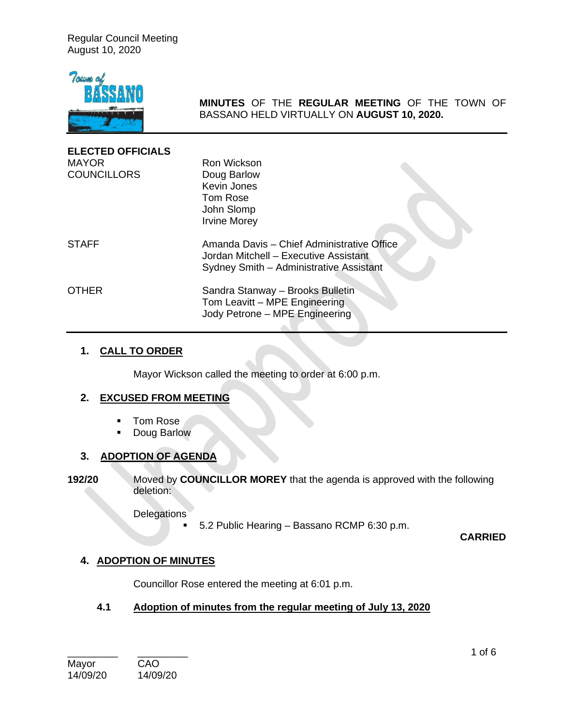Regular Council Meeting August 10, 2020



**MINUTES** OF THE **REGULAR MEETING** OF THE TOWN OF BASSANO HELD VIRTUALLY ON **AUGUST 10, 2020.**

| <b>ELECTED OFFICIALS</b><br><b>MAYOR</b><br><b>COUNCILLORS</b> | Ron Wickson<br>Doug Barlow<br>Kevin Jones<br>Tom Rose<br>John Slomp<br><b>Irvine Morey</b>                                     |
|----------------------------------------------------------------|--------------------------------------------------------------------------------------------------------------------------------|
| <b>STAFF</b>                                                   | Amanda Davis - Chief Administrative Office<br>Jordan Mitchell - Executive Assistant<br>Sydney Smith - Administrative Assistant |
| <b>OTHER</b>                                                   | Sandra Stanway - Brooks Bulletin<br>Tom Leavitt - MPE Engineering<br>Jody Petrone - MPE Engineering                            |

### **1. CALL TO ORDER**

Mayor Wickson called the meeting to order at 6:00 p.m.

## **2. EXCUSED FROM MEETING**

- Tom Rose
- Doug Barlow

## **3. ADOPTION OF AGENDA**

**192/20** Moved by **COUNCILLOR MOREY** that the agenda is approved with the following deletion:

**Delegations** 

5.2 Public Hearing – Bassano RCMP 6:30 p.m.

**CARRIED**

## **4. ADOPTION OF MINUTES**

Councillor Rose entered the meeting at 6:01 p.m.

## **4.1 Adoption of minutes from the regular meeting of July 13, 2020**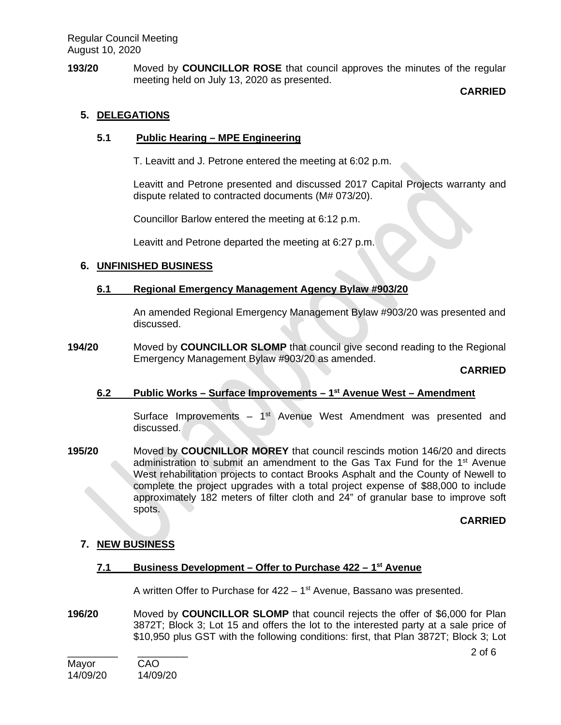**193/20** Moved by **COUNCILLOR ROSE** that council approves the minutes of the regular meeting held on July 13, 2020 as presented.

## **CARRIED**

# **5. DELEGATIONS**

# **5.1 Public Hearing – MPE Engineering**

T. Leavitt and J. Petrone entered the meeting at 6:02 p.m.

Leavitt and Petrone presented and discussed 2017 Capital Projects warranty and dispute related to contracted documents (M# 073/20).

Councillor Barlow entered the meeting at 6:12 p.m.

Leavitt and Petrone departed the meeting at 6:27 p.m.

## **6. UNFINISHED BUSINESS**

## **6.1 Regional Emergency Management Agency Bylaw #903/20**

An amended Regional Emergency Management Bylaw #903/20 was presented and discussed.

**194/20** Moved by **COUNCILLOR SLOMP** that council give second reading to the Regional Emergency Management Bylaw #903/20 as amended.

## **CARRIED**

## **6.2 Public Works – Surface Improvements – 1st Avenue West – Amendment**

Surface Improvements –  $1<sup>st</sup>$  Avenue West Amendment was presented and discussed.

**195/20** Moved by **COUCNILLOR MOREY** that council rescinds motion 146/20 and directs administration to submit an amendment to the Gas Tax Fund for the 1<sup>st</sup> Avenue West rehabilitation projects to contact Brooks Asphalt and the County of Newell to complete the project upgrades with a total project expense of \$88,000 to include approximately 182 meters of filter cloth and 24" of granular base to improve soft spots.

#### **CARRIED**

# **7. NEW BUSINESS**

## **7.1 Business Development – Offer to Purchase 422 – 1st Avenue**

A written Offer to Purchase for  $422 - 1$ <sup>st</sup> Avenue, Bassano was presented.

**196/20** Moved by **COUNCILLOR SLOMP** that council rejects the offer of \$6,000 for Plan 3872T; Block 3; Lot 15 and offers the lot to the interested party at a sale price of \$10,950 plus GST with the following conditions: first, that Plan 3872T; Block 3; Lot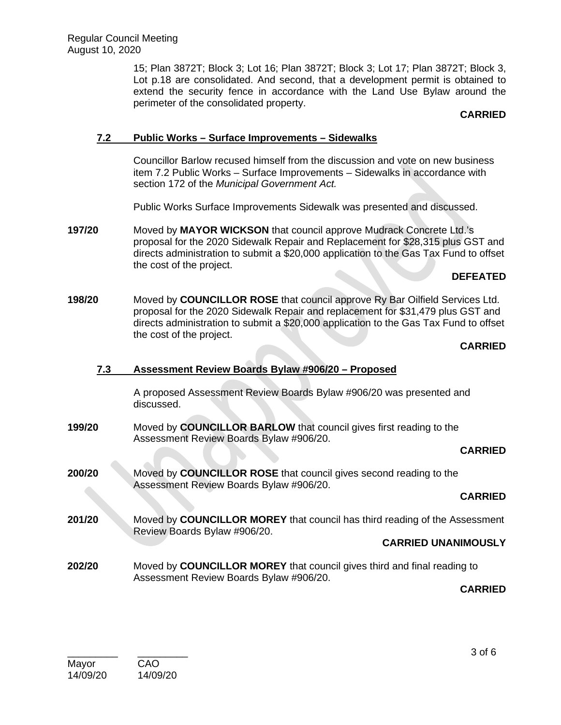15; Plan 3872T; Block 3; Lot 16; Plan 3872T; Block 3; Lot 17; Plan 3872T; Block 3, Lot p.18 are consolidated. And second, that a development permit is obtained to extend the security fence in accordance with the Land Use Bylaw around the perimeter of the consolidated property.

### **CARRIED**

## **7.2 Public Works – Surface Improvements – Sidewalks**

Councillor Barlow recused himself from the discussion and vote on new business item 7.2 Public Works – Surface Improvements – Sidewalks in accordance with section 172 of the *Municipal Government Act.*

Public Works Surface Improvements Sidewalk was presented and discussed.

**197/20** Moved by **MAYOR WICKSON** that council approve Mudrack Concrete Ltd.'s proposal for the 2020 Sidewalk Repair and Replacement for \$28,315 plus GST and directs administration to submit a \$20,000 application to the Gas Tax Fund to offset the cost of the project.

### **DEFEATED**

**198/20** Moved by **COUNCILLOR ROSE** that council approve Ry Bar Oilfield Services Ltd. proposal for the 2020 Sidewalk Repair and replacement for \$31,479 plus GST and directs administration to submit a \$20,000 application to the Gas Tax Fund to offset the cost of the project.

#### **CARRIED**

## **7.3 Assessment Review Boards Bylaw #906/20 – Proposed**

A proposed Assessment Review Boards Bylaw #906/20 was presented and discussed.

**199/20** Moved by **COUNCILLOR BARLOW** that council gives first reading to the Assessment Review Boards Bylaw #906/20.

#### **CARRIED**

**200/20** Moved by **COUNCILLOR ROSE** that council gives second reading to the Assessment Review Boards Bylaw #906/20.

# **CARRIED**

**201/20** Moved by **COUNCILLOR MOREY** that council has third reading of the Assessment Review Boards Bylaw #906/20.

#### **CARRIED UNANIMOUSLY**

**202/20** Moved by **COUNCILLOR MOREY** that council gives third and final reading to Assessment Review Boards Bylaw #906/20.

#### **CARRIED**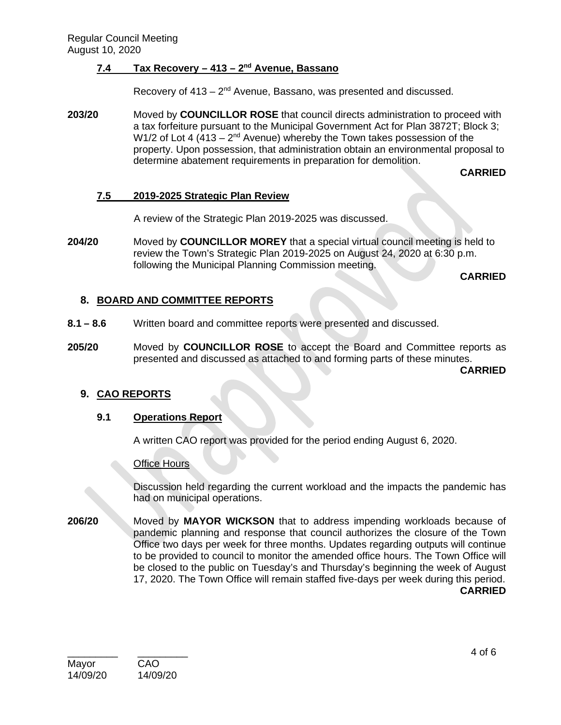# **7.4 Tax Recovery – 413 – 2nd Avenue, Bassano**

Recovery of  $413 - 2<sup>nd</sup>$  Avenue, Bassano, was presented and discussed.

**203/20** Moved by **COUNCILLOR ROSE** that council directs administration to proceed with a tax forfeiture pursuant to the Municipal Government Act for Plan 3872T; Block 3; W1/2 of Lot 4 (413 –  $2<sup>nd</sup>$  Avenue) whereby the Town takes possession of the property. Upon possession, that administration obtain an environmental proposal to determine abatement requirements in preparation for demolition.

**CARRIED**

## **7.5 2019-2025 Strategic Plan Review**

A review of the Strategic Plan 2019-2025 was discussed.

**204/20** Moved by **COUNCILLOR MOREY** that a special virtual council meeting is held to review the Town's Strategic Plan 2019-2025 on August 24, 2020 at 6:30 p.m. following the Municipal Planning Commission meeting.

**CARRIED**

## **8. BOARD AND COMMITTEE REPORTS**

- **8.1 – 8.6** Written board and committee reports were presented and discussed.
- **205/20** Moved by **COUNCILLOR ROSE** to accept the Board and Committee reports as presented and discussed as attached to and forming parts of these minutes.

**CARRIED**

#### **9. CAO REPORTS**

#### **9.1 Operations Report**

A written CAO report was provided for the period ending August 6, 2020.

#### **Office Hours**

Discussion held regarding the current workload and the impacts the pandemic has had on municipal operations.

**206/20** Moved by **MAYOR WICKSON** that to address impending workloads because of pandemic planning and response that council authorizes the closure of the Town Office two days per week for three months. Updates regarding outputs will continue to be provided to council to monitor the amended office hours. The Town Office will be closed to the public on Tuesday's and Thursday's beginning the week of August 17, 2020. The Town Office will remain staffed five-days per week during this period. **CARRIED**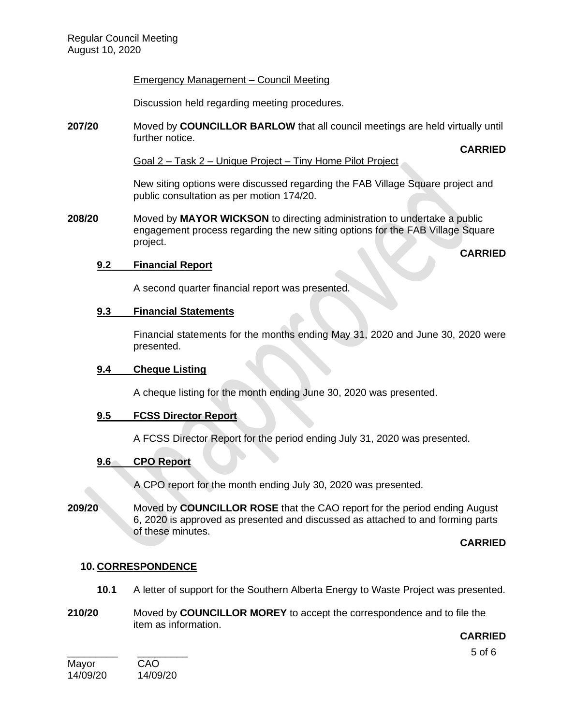### Emergency Management – Council Meeting

Discussion held regarding meeting procedures.

**207/20** Moved by **COUNCILLOR BARLOW** that all council meetings are held virtually until further notice.

#### **CARRIED**

Goal 2 – Task 2 – Unique Project – Tiny Home Pilot Project

New siting options were discussed regarding the FAB Village Square project and public consultation as per motion 174/20.

**208/20** Moved by **MAYOR WICKSON** to directing administration to undertake a public engagement process regarding the new siting options for the FAB Village Square project.

**CARRIED**

## **9.2 Financial Report**

A second quarter financial report was presented.

### **9.3 Financial Statements**

Financial statements for the months ending May 31, 2020 and June 30, 2020 were presented.

#### **9.4 Cheque Listing**

A cheque listing for the month ending June 30, 2020 was presented.

## **9.5 FCSS Director Report**

A FCSS Director Report for the period ending July 31, 2020 was presented.

## **9.6 CPO Report**

A CPO report for the month ending July 30, 2020 was presented.

**209/20** Moved by **COUNCILLOR ROSE** that the CAO report for the period ending August 6, 2020 is approved as presented and discussed as attached to and forming parts of these minutes.

**CARRIED**

## **10. CORRESPONDENCE**

- **10.1** A letter of support for the Southern Alberta Energy to Waste Project was presented.
- **210/20** Moved by **COUNCILLOR MOREY** to accept the correspondence and to file the item as information.

**CARRIED**